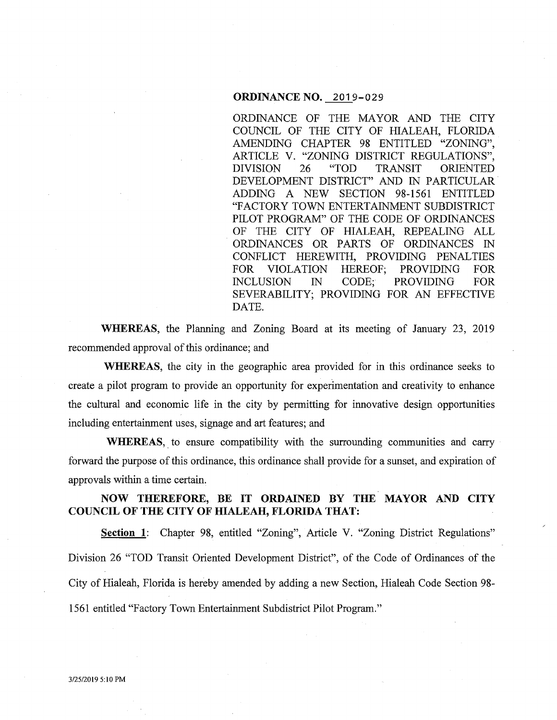### **ORDINANCE NO. 2019-029**

ORDINANCE OF THE MAYOR AND THE CITY COUNCIL OF THE CITY OF HIALEAH, FLORIDA AMENDING CHAPTER 98 ENTITLED "ZONING", ARTICLE V. "ZONING DISTRICT REGULATIONS", DIVISION 26 "TOD TRANSIT ORIENTED DEVELOPMENT DISTRICT" AND IN PARTICULAR. ADDING A NEW SECTION 98-1561 ENTITLED "FACTORY TOWN ENTERTAINMENT SUBDISTRICT PILOT PROGRAM" OF THE CODE OF ORDINANCES OF THE CITY OF HIALEAH, REPEALING ALL ORDINANCES OR PARTS OF ORDINANCES IN CONFLICT HEREWITH, PROVIDING PENALTIES FOR VIOLATION HEREOF; PROVIDING FOR INCLUSION IN CODE; PROVIDING FOR SEVERABILITY; PROVIDING FOR AN EFFECTIVE DATE.

**WHEREAS,** the Planning and Zoning Board at its meeting of January 23, 2019 recommended approval of this ordinance; and

**WHEREAS,** the city in the geographic area provided for in this ordinance seeks to create a pilot program to provide an opportunity for experimentation and creativity to enhance the cultural and economic life in the city by permitting for innovative design opportunities including entertainment uses, signage and art features; and

**WHEREAS**, to ensure compatibility with the surrounding communities and carry forward the purpose of this ordinance, this ordinance shall provide for a sunset, and expiration of approvals within a time certain.

## **NOW THEREFORE, BE IT ORDAINED BY THE MAYOR AND CITY COUNCIL OF THE CITY OF HIALEAH, FLORIDA THAT:**

**Section 1:** Chapter 98, entitled "Zoning", Article V. "Zoning District Regulations" Division 26 "TOD Transit Oriented Development District", of the Code of Ordinances of the City of Hialeah, Florida is hereby amended by adding a new Section, Hialeah Code Section 98- 1561 entitled "Factory Town Entertainment Subdistrict Pilot Program."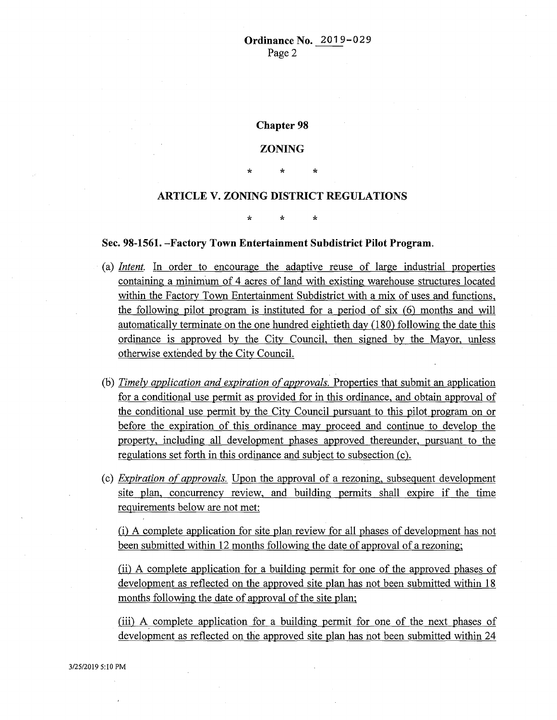**Chapter 98** 

## **ZONING**

\* \* \*

# **ARTICLE V. ZONING DISTRICT REGULATIONS**

\* \* \*

#### **Sec. 98-1561. -Factory Town Entertainment Subdistrict Pilot Program.**

- (a) *Intent.* In order to encourage the adaptive reuse of large industrial properties containing a minimum of 4 acres of land with existing warehouse structures located within the Factory Town Entertainment Subdistrict with a mix of uses and functions, the following pilot program is instituted for a period of six (6) months and will automatically terminate on the one hundred eightieth day (180) following the date this ordinance is approved by the City Council, then signed by the Mayor, unless otherwise extended by the City Council.
- (b) *Timely application and expiration of approvals.* Properties that submit an application for a conditional use permit as provided for in this ordinance, and obtain approval of the conditional use permit by the City Council pursuant to this pilot program on or before the expiration of this ordinance may proceed and continue to develop the property, including all development phases approved thereunder, pursuant to the regulations set forth in this ordinance and subject to subsection (c).
- (c) *Expiration of approvals.* Upon the approval of a rezoning, subsequent development site plan, concurrency review, and building permits shall expire if the time requirements below are not met:

(i) A complete application for site plan review for all phases of development has not been submitted within 12 months following the date of approval of a rezoning;

(ii) A complete application for a building permit for one of the approved phases of development as reflected on the approved site plan has not been submitted within 18 months following the date of approval of the site plan;

(iii) A. complete application for a building permit for one of the next phases of development as reflected on the approved site plan has not been submitted within 24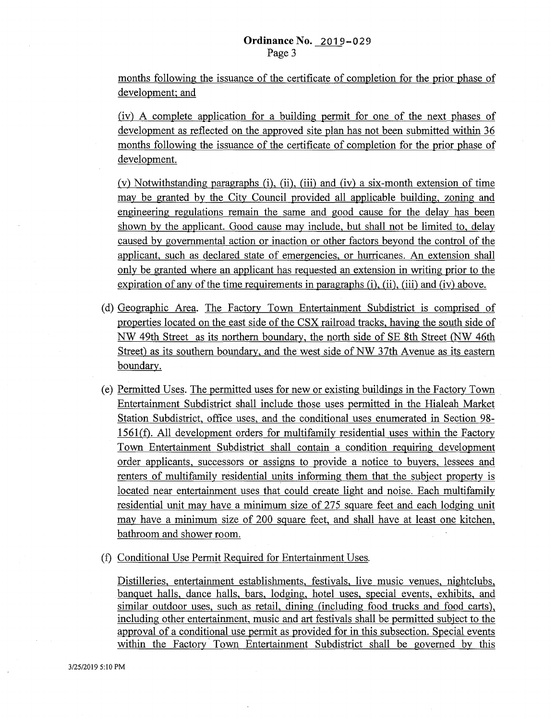months following the issuance of the certificate of completion for the prior phase of development; and

(iv) A complete application for a building permit for one of the next phases of development as reflected on the approved site plan has not been submitted within 36 months following the issuance of the certificate of completion for the prior phase of development.

(v) Notwithstanding paragraphs (i), (ii), (iii) and (iv) a six-month extension of time may be granted by the City Council provided all applicable building, zoning and engineering regulations remain the same and good cause for the delay has been shown by the applicant. Good cause may include, but shall not be limited to, delay caused by governmental action or inaction or other factors beyond the control of the applicant, such as declared state of emergencies, or hurricanes. An extension shall only be granted where an applicant has requested an extension in writing prior to the expiration of any of the time requirements in paragraphs (i), (ii), (iii) and (iv) above.

- (d) Geographic Area. The Factory Town Entertainment Subdistrict is comprised of properties located on the east side of the CSX railroad tracks, having the south side of NW 49th Street as its northern boundary, the north side of SE 8th Street (NW 46th Street) as its southern boundary, and the west side of NW 37th Avenue as its eastern boundary.
- (e) Permitted Uses. The permitted uses for new or existing buildings in the Factory Town Entertainment Subdistrict shall include those uses permitted in the Hialeah Market Station Subdistrict, office uses, and the conditional uses enumerated in Section 98- 1561(f). All development orders for multifamily residential uses within the Factory Town Entertainment Subdistrict shall contain a condition requiring development order applicants, successors or assigns to provide a notice to buyers, lessees and renters of multifamily residential units informing them that the subject property is located near entertainment uses that could create light and noise. Each multifamily residential unit may have a minimum size of 275 square feet and each lodging unit may have a minimum size of 200 square feet, and shall have at least one kitchen, bathroom and shower room.

(f) Conditional Use Permit Required for Entertainment Uses.

Distilleries, entertainment establishments, festivals, live music venues, nightclubs, banquet halls, dance halls, bars, lodging, hotel uses, special events, exhibits, and similar outdoor uses, such as retail, dining (including food trucks and food carts), including other entertainment, music and art festivals shall be permitted subject to the approval of a conditional use permit as provided for in this subsection. Special events within the Factory· Town Entertainment Subdistrict shall be governed by this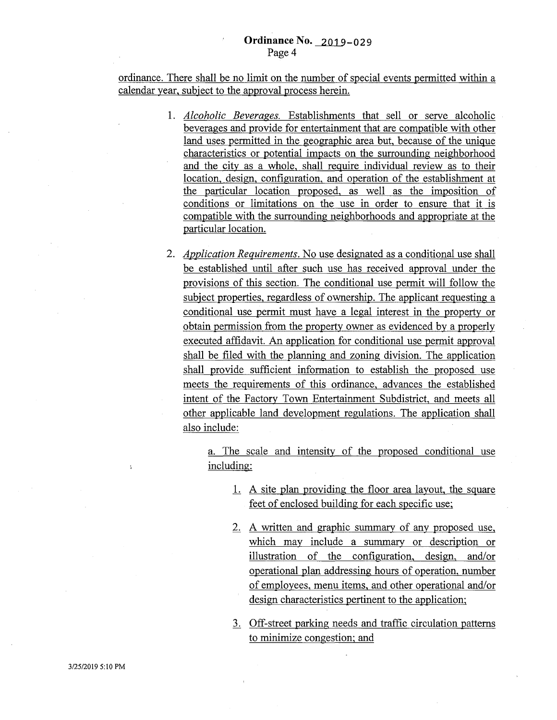ordinance. There shall be no limit on the number of special events permitted within a calendar year, subject to the approval process herein.

- 1. *Alcoholic Beverages.* Establishments that sell or serve alcoholic beverages and provide for entertainment that are compatible with other land uses permitted in the geographic area but, because of the unique characteristics or potential impacts on the surrounding neighborhood and the city as a whole, shall require individual review as to their location, design, configuration, and operation of the establishment at the particular location proposed, as well as the imposition of conditions or limitations on the use in order to ensure that it is compatible with the surrounding neighborhoods and appropriate at the particular location.
- 2. *Application Requirements.* No use designated as a conditional use shall be established until after such use has received approval under the provisions of this section. The conditional use permit will follow the subject properties, regardless of ownership. The applicant requesting a conditional use permit must have a legal interest in the property or obtain permission from the property owner as evidenced by a properly executed affidavit. An application for conditional use permit approval shall be filed with the planning and zoning division. The application shall provide sufficient information to establish the proposed use meets the requirements of this ordinance, advances the established intent of the Factory Town Entertainment Subdistrict, and meets all other applicable land development regulations. The application shall also include:

a. The scale and intensity of the proposed conditional use including:

- 1. A site plan providing the floor area layout, the square feet of enclosed building for each specific use;
- 2. A written and graphic summary of any proposed use, which may include a summary or description or illustration of the configuration, design, and/or operational plan addressing hours of operation, number of employees, menu items, and other operational and/or design characteristics pertinent to the application;
- 3. Off-street parking needs and traffic circulation patterns to minimize congestion; and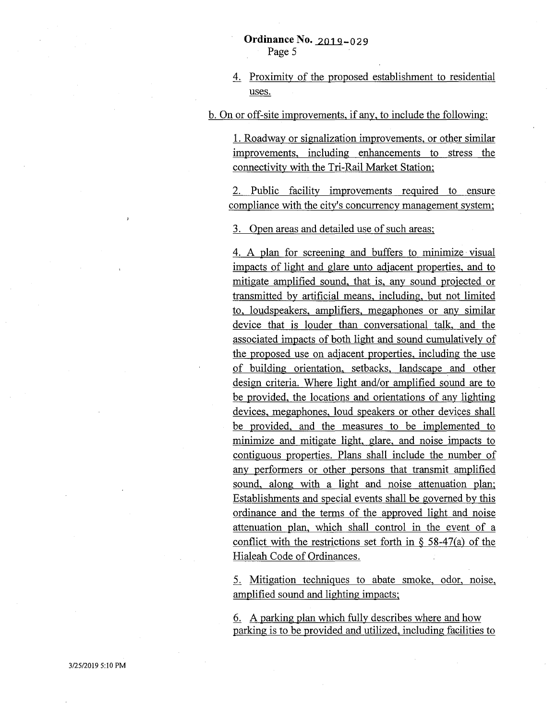4. Proximity of the proposed establishment to residential uses.

b. On or off-site improvements, if any, to include the following:

1. Roadway or signalization improvements, or other similar improvements, including enhancements to stress the connectivity with the Tri-Rail Market Station;

2. Public facility improvements required to ensure compliance with the city's concurrency management system;

3. Open areas and detailed use of such areas;

4. A plan for screening and buffers to minimize· visual impacts of light and glare unto adjacent properties, and to mitigate amplified sound, that is, any sound projected or transmitted by artificial means, including, but not limited to, loudspeakers, amplifiers, megaphones or any similar device that is louder than conversational talk, and the associated impacts of both light and sound cumulatively of the proposed use on adjacent properties, including the use of building orientation, setbacks, landscape and other design criteria. Where light and/or amplified sound are to be provided, the locations and orientations of any lighting devices, megaphones, loud speakers or other devices shall be provided, and the measures to be implemented to minimize and mitigate light, glare, and noise impacts to contiguous properties. Plans shall include the number of any performers or other persons that transmit amplified sound, along with a light and noise attenuation plan; Establishments and special events shall be governed by this ordinance and the terms of the approved light and noise attenuation plan, which shall control in the event of a conflict with the restrictions set forth in  $\S$  58-47(a) of the Hialeah Code of Ordinances.

5. Mitigation techniques to abate smoke, odor, noise, amplified sound and lighting impacts;

6. A parking plan which fully describes where and how parking is to be provided and utilized, including facilities to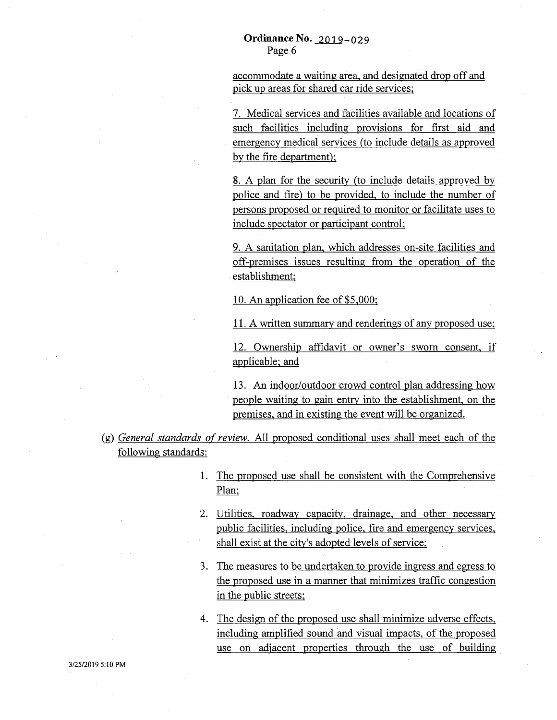accommodate a waiting area, and designated drop off and pick up areas for shared car ride services;

7. Medical services and facilities available and locations of such facilities including provisions for first aid and emergency medical services (to include details as approved by the fire department);

8. A plan for the security (to include details approved by police and fire) to be provided, to include the number of persons proposed or required to monitor or facilitate uses to include spectator or participant control;

9. A sanitation plan, which addresses on-site facilities and off-premises issues resulting from the operation of the establishment;

10. An application fee of \$5,000;

11. A written summary and renderings of any proposed use;

12. Ownership affidavit or owner's sworn consent, if applicable; and

13. An indoor/outdoor crowd control plan addressing how people waiting to gain entry into the establishment, on the premises, and in existing the event will be organized.

- (g) *General standards of review.* All proposed conditional uses shall meet each of the following standards:
	- 1. The proposed use shall be consistent with the Comprehensive Plan;
	- 2. Utilities, roadway capacity, drainage, and other necessary public facilities, including police, fire and emergency services, shall exist at the city's adopted levels of service;
	- 3. The measures to be undertaken to provide ingress and egress to the proposed use in a manner that minimizes traffic congestion in the public streets;
	- 4. The design of the proposed use shall minimize adverse effects, including amplified sound and visual impacts, of the proposed use on adjacent properties through the use of building

3/25/2019 5:10PM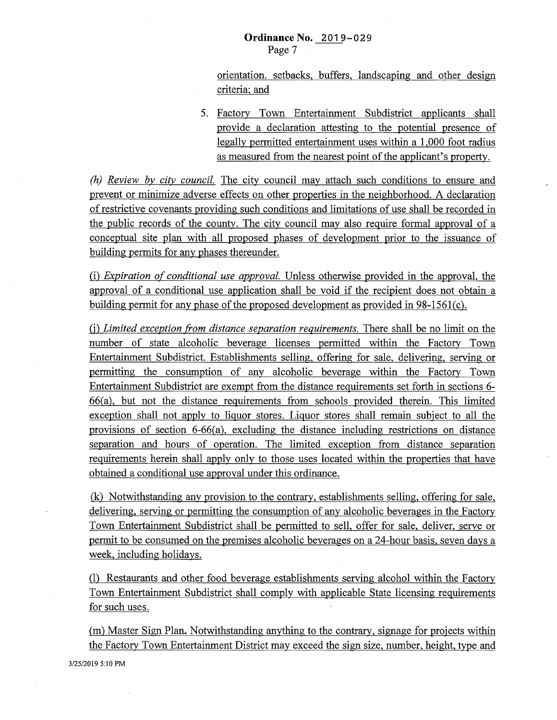orientation. setbacks, buffers, landscaping and other design criteria; and

5. Factory Town Entertainment Subdistrict applicants shall provide a declaration attesting to the potential presence of legally permitted entertainment uses within a 1,000 foot radius as measured from the nearest point of the applicant's property.

*(h) Review by city council.* The city council may attach such conditions to ensure and prevent or minimize adverse effects on other properties in the neighborhood. A declaration of restrictive covenants providing such conditions and limitations of use shall be recorded in the public records of the county. The city council may also require formal approval of a conceptual site plan with all proposed phases of development prior to the issuance of building permits for any phases thereunder.

(i) *Expiration of conditional use approval.* Unless otherwise provided in the approval, the approval of a conditional use application shall be void if the recipient does not obtain a building permit for any phase of the proposed development as provided in  $98-1561(c)$ .

(j) *Limited exception from distance separation requirements.* There shall be no limit on the number of state alcoholic beverage licenses permitted within the Factory Town Entertainment Subdistrict. Establishments selling, offering for sale, delivering, serving or permitting the consumption of any alcoholic beverage within the Factory Town Entertainment Subdistrict are exempt from the distance requirements set forth in sections 6- 66(a), but not the distance requirements from schools provided therein. This limited exception shall not apply to liquor stores. Liquor stores shall remain subject to all the provisions of section 6-66(a), excluding the distance including restrictions on distance separation and hours of operation. The limited exception from distance separation requirements herein shall apply only to those uses located within the properties that have obtained a conditional use approval under this ordinance.

(k) Notwithstanding any provision to the contrary, establishments selling, offering for sale, delivering, serving or permitting the consumption of any alcoholic beverages in the Factory Town Entertainment Subdistrict shall be permitted to sell, offer for sale, deliver, serve or permit to be consumed on the premises alcoholic beverages on a 24-hour basis, seven days a week, including holidays.

(1) Restaurants and other food beverage establishments serving alcohol within the Factory Town Entertainment Subdistrict shall comply with applicable State licensing requirements for such uses.

(m) Master Sign Plan. Notwithstanding anything to the contrary, signage for projects within the Factory Town Entertainment District may exceed the sign size, number, height, type and

3/25/2019 5:10PM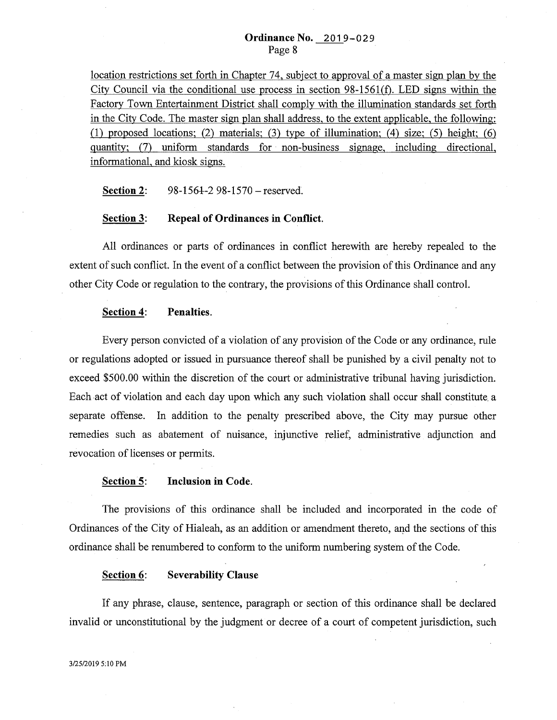location restrictions set forth in Chapter 74, subject to approval of a master sign plan by the City Council via the conditional use process in section  $98-1561(f)$ . LED signs within the Factory Town Entertainment District shall comply with the illumination standards set forth in the City Code. The master sign plan shall address, to the extent applicable, the following: (1) proposed locations; (2) materials; (3) type of illumination; (4) size; (5) height; (6) quantity; (7) uniform standards for non-business signage, including directional, informational, and kiosk signs.

**Section 2:** 98-1564-2 98-1570 – reserved.

#### **Section 3: Repeal of Ordinances in Conflict.**

All ordinances or parts of ordinances in conflict herewith are hereby repealed to the extent of such conflict. In the event of a conflict between the provision of this Ordinance and any other City Code or regulation to the contrary, the provisions of this Ordinance shall control.

#### **Section 4: Penalties.**

Every person convicted of a violation of any provision of the Code or any ordinance, rule or regulations adopted or issued in pursuance thereof shall be punished by a civil penalty not to exceed \$500.00 within the discretion of the court or administrative tribunal having jurisdiction. Each act of violation and each day upon which any such violation shall occur shall constitute. a separate offense. In addition to the penalty prescribed above, the City may pursue other remedies such as abatement of nuisance, injunctive relief, administrative adjunction and revocation of licenses or permits.

#### Section 5: **Inclusion in Code.**

The provisions of this ordinance shall be included and incorporated in the code of Ordinances of the City of Hialeah, as an addition or amendment thereto, and the sections of this. ordinance shall be renumbered to conform to the uniform numbering system of the Code.

#### **Section 6: Severability Clause**

If any phrase, clause, sentence, paragraph or section of this ordinance shall be declared invalid or unconstitutional by the judgment or decree of a court of competent jurisdiction, such